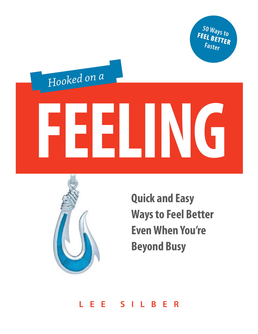**50 Ways to** FEEL BETTER **Faster**

# **FEELING** *Hooked on a*



**Quick and Easy Ways to Feel Better Even When You're Beyond Busy**

**L E E S I L B E R**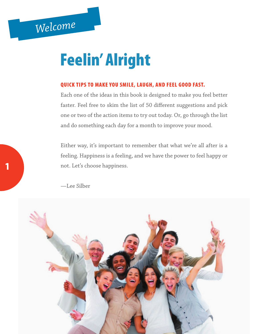# Feelin' Alright

#### QUICK TIPS TO MAKE YOU SMILE, LAUGH, AND FEEL GOOD FAST.

Each one of the ideas in this book is designed to make you feel better faster. Feel free to skim the list of 50 different suggestions and pick one or two of the action items to try out today. Or, go through the list and do something each day for a month to improve your mood.

Either way, it's important to remember that what we're all after is a feeling. Happiness is a feeling, and we have the power to feel happy or not. Let's choose happiness.



—Lee Silber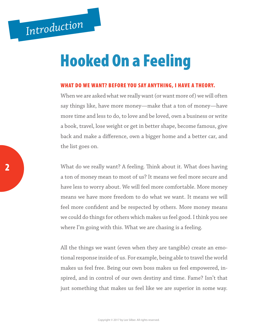# Hooked On a Feeling

#### WHAT DO WE WANT? BEFORE YOU SAY ANYTHING, I HAVE A THEORY.

When we are asked what we really want (or want more of) we will often say things like, have more money—make that a ton of money—have more time and less to do, to love and be loved, own a business or write a book, travel, lose weight or get in better shape, become famous, give back and make a difference, own a bigger home and a better car, and the list goes on.

What do we really want? A feeling. Think about it. What does having a ton of money mean to most of us? It means we feel more secure and have less to worry about. We will feel more comfortable. More money means we have more freedom to do what we want. It means we will feel more confident and be respected by others. More money means we could do things for others which makes us feel good. I think you see where I'm going with this. What we are chasing is a feeling.

All the things we want (even when they are tangible) create an emotional response inside of us. For example, being able to travel the world makes us feel free. Being our own boss makes us feel empowered, inspired, and in control of our own destiny and time. Fame? Isn't that just something that makes us feel like we are superior in some way.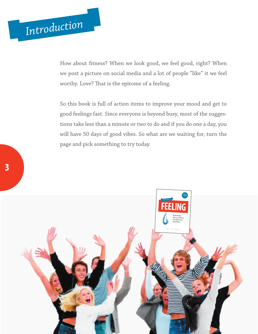# *Introduction*

How about fitness? When we look good, we feel good, right? When we post a picture on social media and a lot of people "like" it we feel worthy. Love? That is the epitome of a feeling.

So this book is full of action items to improve your mood and get to good feelings fast. Since everyone is beyond busy, most of the suggestions take less than a minute or two to do and if you do one a day, you will have 50 days of good vibes. So what are we waiting for, turn the page and pick something to try today.

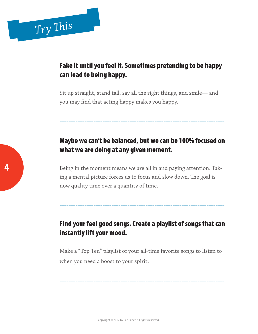#### Fake it until you feel it. Sometimes pretending to be happy can lead to being happy.

Sit up straight, stand tall, say all the right things, and smile— and you may find that acting happy makes you happy.

## Maybe we can't be balanced, but we can be 100% focused on what we are doing at any given moment.

-------------------------------------------------------------------------

Being in the moment means we are all in and paying attention. Taking a mental picture forces us to focus and slow down. The goal is now quality time over a quantity of time.

## Find your feel good songs. Create a playlist of songs that can instantly lift your mood.

-------------------------------------------------------------------------

Make a "Top Ten" playlist of your all-time favorite songs to listen to when you need a boost to your spirit.

-------------------------------------------------------------------------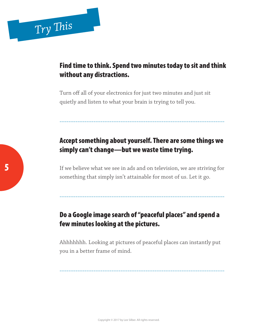#### Find time to think. Spend two minutes today to sit and think without any distractions.

Turn off all of your electronics for just two minutes and just sit quietly and listen to what your brain is trying to tell you.

# Accept something about yourself. There are some things we simply can't change—but we waste time trying.

-------------------------------------------------------------------------

If we believe what we see in ads and on television, we are striving for something that simply isn't attainable for most of us. Let it go.

-------------------------------------------------------------------------

## Do a Google image search of "peaceful places" and spend a few minutes looking at the pictures.

Ahhhhhhh. Looking at pictures of peaceful places can instantly put you in a better frame of mind.

-------------------------------------------------------------------------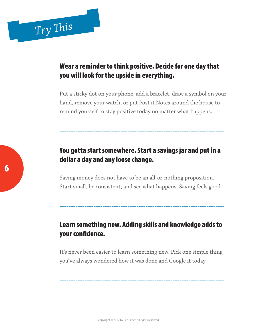# *Try This*

#### Wear a reminder to think positive. Decide for one day that you will look for the upside in everything.

Put a sticky dot on your phone, add a bracelet, draw a symbol on your hand, remove your watch, or put Post it Notes around the house to remind yourself to stay positive today no matter what happens.

#### You gotta start somewhere. Start a savings jar and put in a dollar a day and any loose change.

-------------------------------------------------------------------------

Saving money does not have to be an all-or-nothing proposition. Start small, be consistent, and see what happens. Saving feels good.

#### Learn something new. Adding skills and knowledge adds to your confidence.

-------------------------------------------------------------------------

It's never been easier to learn something new. Pick one simple thing you've always wondered how it was done and Google it today.

-------------------------------------------------------------------------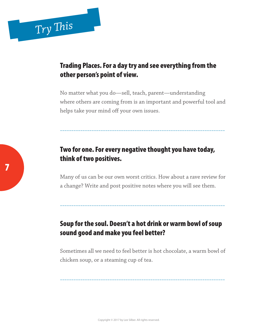#### Trading Places. For a day try and see everything from the other person's point of view.

No matter what you do—sell, teach, parent—understanding where others are coming from is an important and powerful tool and helps take your mind off your own issues.

-------------------------------------------------------------------------

#### Two for one. For every negative thought you have today, think of two positives.

Many of us can be our own worst critics. How about a rave review for a change? Write and post positive notes where you will see them.

-------------------------------------------------------------------------

#### Soup for the soul. Doesn't a hot drink or warm bowl of soup sound good and make you feel better?

Sometimes all we need to feel better is hot chocolate, a warm bowl of chicken soup, or a steaming cup of tea.

-------------------------------------------------------------------------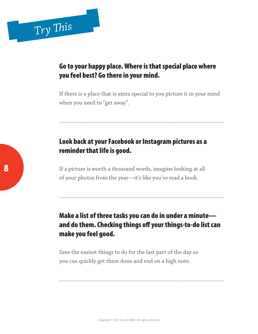#### Go to your happy place. Where is that special place where you feel best? Go there in your mind.

If there is a place that is extra special to you picture it in your mind when you need to "get away".

-------------------------------------------------------------------------

#### Look back at your Facebook or Instagram pictures as a reminder that life is good.

If a picture is worth a thousand words, imagine looking at all of your photos from the year—it's like you've read a book.

## Make a list of three tasks you can do in under a minute and do them. Checking things off your things-to-do list can make you feel good.

-------------------------------------------------------------------------

-------------------------------------------------------------------------

Save the easiest things to do for the last part of the day so you can quickly get them done and end on a high note.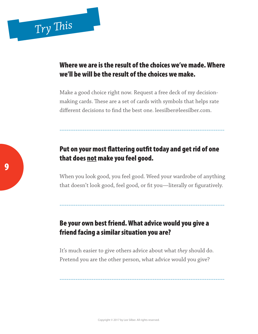#### Where we are is the result of the choices we've made. Where we'll be will be the result of the choices we make.

Make a good choice right now. Request a free deck of my decisionmaking cards. These are a set of cards with symbols that helps rate different decisions to find the best one. leesilber@leesilber.com.

#### Put on your most flattering outfit today and get rid of one that does not make you feel good.

-------------------------------------------------------------------------

When you look good, you feel good. Weed your wardrobe of anything that doesn't look good, feel good, or fit you—literally or figuratively.

-------------------------------------------------------------------------

#### Be your own best friend. What advice would you give a friend facing a similar situation you are?

It's much easier to give others advice about what *they* should do. Pretend you are the other person, what advice would you give?

-------------------------------------------------------------------------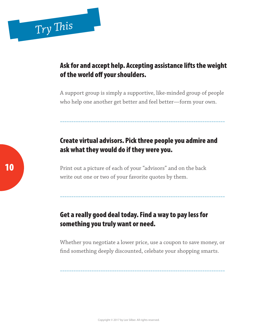#### Ask for and accept help. Accepting assistance lifts the weight of the world off your shoulders.

A support group is simply a supportive, like-minded group of people who help one another get better and feel better—form your own.

-------------------------------------------------------------------------

# Create virtual advisors. Pick three people you admire and ask what they would do if they were you.

Print out a picture of each of your "advisors" and on the back write out one or two of your favorite quotes by them.

## Get a really good deal today. Find a way to pay less for something you truly want or need.

Whether you negotiate a lower price, use a coupon to save money, or find something deeply discounted, celebate your shopping smarts.

-------------------------------------------------------------------------

-------------------------------------------------------------------------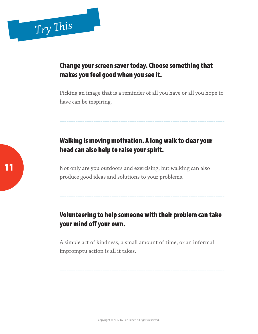#### Change your screen saver today. Choose something that makes you feel good when you see it.

Picking an image that is a reminder of all you have or all you hope to have can be inspiring.

-------------------------------------------------------------------------

# Walking is moving motivation. A long walk to clear your head can also help to raise your spirit.

Not only are you outdoors and exercising, but walking can also produce good ideas and solutions to your problems.

## Volunteering to help someone with their problem can take your mind off your own.

-------------------------------------------------------------------------

A simple act of kindness, a small amount of time, or an informal impromptu action is all it takes.

-------------------------------------------------------------------------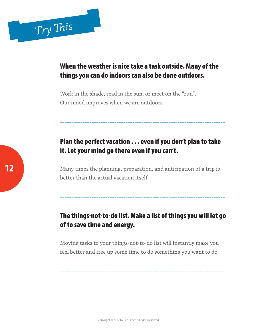#### When the weather is nice take a task outside. Many of the things you can do indoors can also be done outdoors.

Work in the shade, read in the sun, or meet on the "run". Our mood improves when we are outdoors.

## Plan the perfect vacation . . . even if you don't plan to take it. Let your mind go there even if you can't.

-------------------------------------------------------------------------

Many times the planning, preparation, and anticipation of a trip is better than the actual vacation itself.

#### The things-not-to-do list. Make a list of things you will let go of to save time and energy.

-------------------------------------------------------------------------

Moving tasks to your things-not-to-do list will instantly make you feel better and free up some time to do something you want to do.

-------------------------------------------------------------------------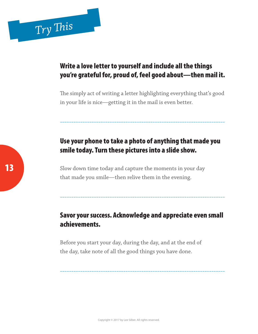#### Write a love letter to yourself and include all the things you're grateful for, proud of, feel good about—then mail it.

The simply act of writing a letter highlighting everything that's good in your life is nice—getting it in the mail is even better.

-------------------------------------------------------------------------

## Use your phone to take a photo of anything that made you smile today. Turn these pictures into a slide show.

Slow down time today and capture the moments in your day that made you smile—then relive them in the evening.

#### Savor your success. Acknowledge and appreciate even small achievements.

-------------------------------------------------------------------------

-------------------------------------------------------------------------

Before you start your day, during the day, and at the end of the day, take note of all the good things you have done.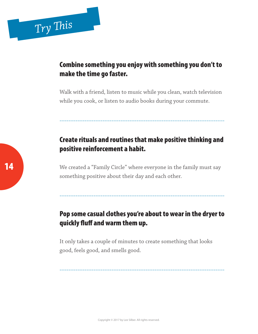#### Combine something you enjoy with something you don't to make the time go faster.

Walk with a friend, listen to music while you clean, watch television while you cook, or listen to audio books during your commute.

## Create rituals and routines that make positive thinking and positive reinforcement a habit.

-------------------------------------------------------------------------

We created a "Family Circle" where everyone in the family must say something positive about their day and each other.

#### Pop some casual clothes you're about to wear in the dryer to quickly fluff and warm them up.

-------------------------------------------------------------------------

It only takes a couple of minutes to create something that looks good, feels good, and smells good.

-------------------------------------------------------------------------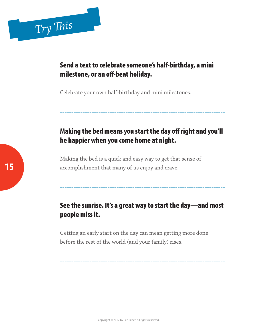#### Send a text to celebrate someone's half-birthday, a mini milestone, or an off-beat holiday.

Celebrate your own half-birthday and mini milestones.

# Making the bed means you start the day off right and you'll be happier when you come home at night.

-------------------------------------------------------------------------

Making the bed is a quick and easy way to get that sense of accomplishment that many of us enjoy and crave.

#### See the sunrise. It's a great way to start the day—and most people miss it.

-------------------------------------------------------------------------

-------------------------------------------------------------------------

Getting an early start on the day can mean getting more done before the rest of the world (and your family) rises.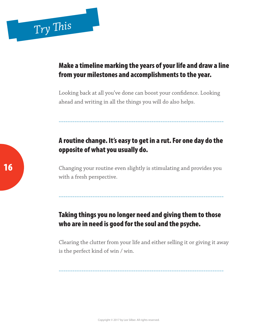#### Make a timeline marking the years of your life and draw a line from your milestones and accomplishments to the year.

Looking back at all you've done can boost your confidence. Looking ahead and writing in all the things you will do also helps.

## A routine change. It's easy to get in a rut. For one day do the opposite of what you usually do.

-------------------------------------------------------------------------

Changing your routine even slightly is stimulating and provides you with a fresh perspective.

-------------------------------------------------------------------------

#### Taking things you no longer need and giving them to those who are in need is good for the soul and the psyche.

Clearing the clutter from your life and either selling it or giving it away is the perfect kind of win / win.

-------------------------------------------------------------------------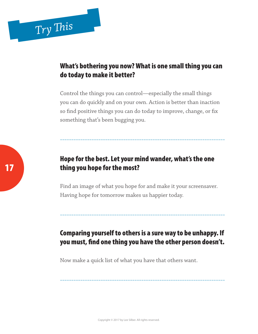#### What's bothering you now? What is one small thing you can do today to make it better?

Control the things you can control—especially the small things you can do quickly and on your own. Action is better than inaction so find positive things you can do today to improve, change, or fix something that's been bugging you.

-------------------------------------------------------------------------

#### Hope for the best. Let your mind wander, what's the one thing you hope for the most?

Find an image of what you hope for and make it your screensaver. Having hope for tomorrow makes us happier today.

## Comparing yourself to others is a sure way to be unhappy. If you must, find one thing you have the other person doesn't.

-------------------------------------------------------------------------

-------------------------------------------------------------------------

Now make a quick list of what you have that others want.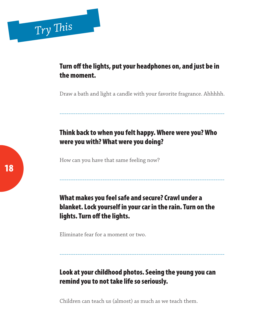#### Turn off the lights, put your headphones on, and just be in the moment.

Draw a bath and light a candle with your favorite fragrance. Ahhhhh.

-------------------------------------------------------------------------

# Think back to when you felt happy. Where were you? Who were you with? What were you doing?

How can you have that same feeling now?

What makes you feel safe and secure? Crawl under a blanket. Lock yourself in your car in the rain. Turn on the lights. Turn off the lights.

-------------------------------------------------------------------------

Eliminate fear for a moment or two.

## Look at your childhood photos. Seeing the young you can remind you to not take life so seriously.

-------------------------------------------------------------------------

Children can teach us (almost) as much as we teach them.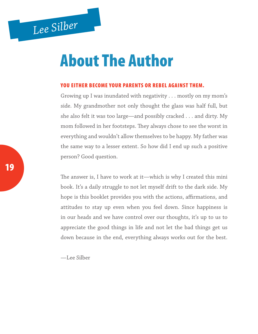# *Lee Silber*

# About The Author

#### YOU EITHER BECOME YOUR PARENTS OR REBEL AGAINST THEM.

Growing up I was inundated with negativity . . . mostly on my mom's side. My grandmother not only thought the glass was half full, but she also felt it was too large—and possibly cracked . . . and dirty. My mom followed in her footsteps. They always chose to see the worst in everything and wouldn't allow themselves to be happy. My father was the same way to a lesser extent. So how did I end up such a positive person? Good question.

The answer is, I have to work at it—which is why I created this mini book. It's a daily struggle to not let myself drift to the dark side. My hope is this booklet provides you with the actions, affirmations, and attitudes to stay up even when you feel down. Since happiness is in our heads and we have control over our thoughts, it's up to us to appreciate the good things in life and not let the bad things get us down because in the end, everything always works out for the best.

—Lee Silber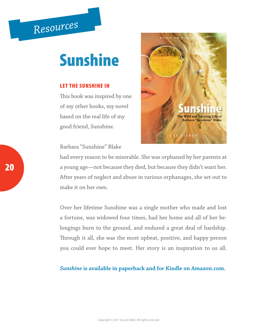# *Resources*

# Sunshine

#### LET THE SUNSHINE IN

This book was inspired by one of my other books, my novel based on the real life of my good friend, Sunshine.

Barbara "Sunshine" Blake



had every reason to be miserable. She was orphaned by her parents at a young age—not because they died, but because they didn't want her. After years of neglect and abuse in various orphanages, she set out to make it on her own.

Over her lifetime Sunshine was a single mother who made and lost a fortune, was widowed four times, had her home and all of her belongings burn to the ground, and endured a great deal of hardship. Through it all, she was the most upbeat, positive, and happy person you could ever hope to meet. Her story is an inspiration to us all.

#### *Sunshine* **is available in paperback and for Kindle on Amazon.com.**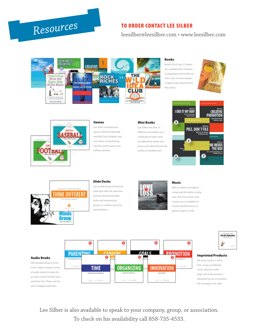# Resources TO ORDER CONTACT LEE SILBER

#### leesilber@leesilber.com • www.leesilber.com



#### Books

Nearly all of Lee's 22 books are available from Amazon in paperback and Kindle versions. You can also request a signed copy directly from the author.





#### Games

Lee Silber invented two games, Roll-Dice Baseball and Roll-Dice Football, and uses them as fundraising tools for youth sports and military families.

#### Mini Books

Lee Silber has over 15 different mini books on a multitude of topics that are offered for under two bucks each directly from the author at leesilber.com.

![](_page_21_Picture_12.jpeg)

![](_page_21_Picture_13.jpeg)

#### Slide Decks

Lee usually leaves behind his slide deck after his speeches and has also formed idea clubs and mastermind groups as a follow-up to his presentations.

![](_page_21_Picture_16.jpeg)

#### Music

With an album of original songs and the ability to play over 250 covers from rock to pop, Lee is available for musical performances to groups large or small.

![](_page_21_Picture_19.jpeg)

#### Imprinted Products

We have custom t-shirts, hats, mugs, wristbands, cards, planners, balls, bags, and other products designed by Lee to reinforce the message in his talks.

#### Audio Books

With people always on the move, Silber created a series of audio books to help others take control of their time and their lives. These can be sent as digital audio files.

![](_page_21_Figure_24.jpeg)

Lee Silber is also available to speak to your company, group, or association. To check on his availability call 858-735-4533.